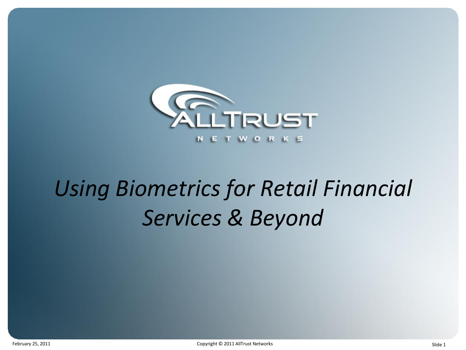

# *Using Biometrics for Retail Financial Services & Beyond*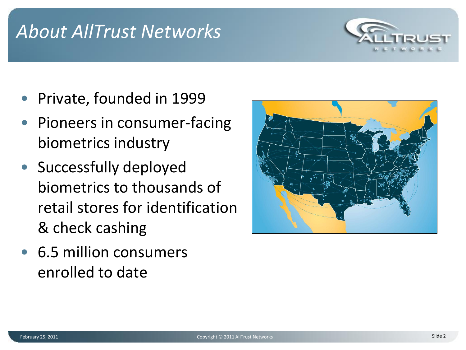### *About AllTrust Networks*



- Private, founded in 1999
- Pioneers in consumer-facing biometrics industry
- Successfully deployed biometrics to thousands of retail stores for identification & check cashing
- 6.5 million consumers enrolled to date

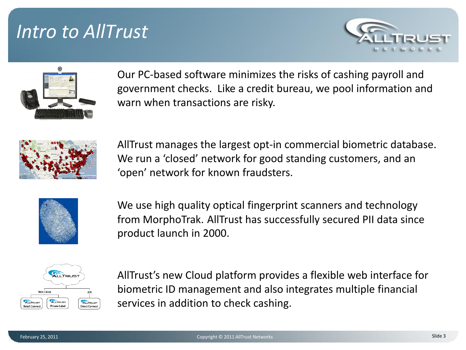### *Intro to AllTrust*





Our PC-based software minimizes the risks of cashing payroll and government checks. Like a credit bureau, we pool information and warn when transactions are risky.



AllTrust manages the largest opt-in commercial biometric database. We run a 'closed' network for good standing customers, and an 'open' network for known fraudsters.



We use high quality optical fingerprint scanners and technology from MorphoTrak. AllTrust has successfully secured PII data since product launch in 2000.



AllTrust's new Cloud platform provides a flexible web interface for biometric ID management and also integrates multiple financial services in addition to check cashing.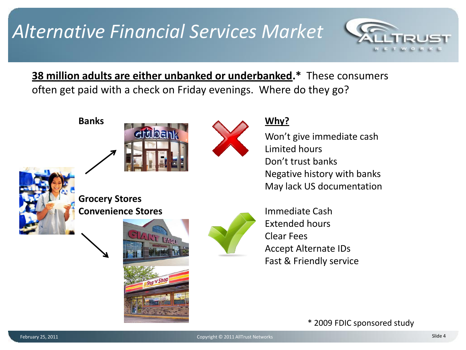## *Alternative Financial Services Market*



**38 million adults are either unbanked or underbanked.\*** These consumers often get paid with a check on Friday evenings. Where do they go?









Won't give immediate cash Limited hours Don't trust banks Negative history with banks May lack US documentation



**Grocery Stores Convenience Stores Immediate Cash** 





Extended hours Clear Fees Accept Alternate IDs Fast & Friendly service

\* 2009 FDIC sponsored study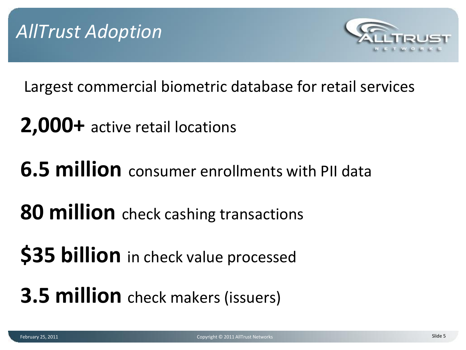

Largest commercial biometric database for retail services

- **2,000+** active retail locations
- **6.5 million** consumer enrollments with PII data
- **80 million** check cashing transactions
- **\$35 billion** in check value processed
- **3.5 million** check makers (issuers)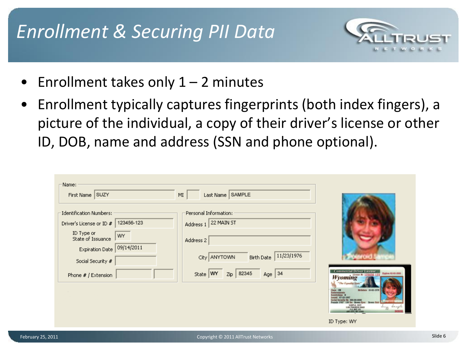## *Enrollment & Securing PII Data*



- Enrollment takes only  $1 2$  minutes
- Enrollment typically captures fingerprints (both index fingers), a picture of the individual, a copy of their driver's license or other ID, DOB, name and address (SSN and phone optional).

| Name:<br>First Name SUZY                                                                                                                                                                        | Last Name SAMPLE<br>MI                                                                                                                                       |                                                                                                                                                                                                                                     |
|-------------------------------------------------------------------------------------------------------------------------------------------------------------------------------------------------|--------------------------------------------------------------------------------------------------------------------------------------------------------------|-------------------------------------------------------------------------------------------------------------------------------------------------------------------------------------------------------------------------------------|
| <b>Identification Numbers:</b><br>123456-123<br>Driver's License or ID #<br>ID Type or<br>WY<br>State of Issuance<br> 09/14/2011<br>Expiration Date<br>Social Security #<br>Phone # / Extension | Personal Information:<br>22 MAIN ST<br>Address 1<br>Address 2<br>11/23/1976<br>City ANYTOWN<br>Birth Date<br>82345<br>Age $34$<br>State WY<br>$\mathsf{Zip}$ | <b>Commercial Driver License</b><br>Expires \$2-02-2000<br>Wyoming A<br>"The Equator St.<br><b>Britain: 10-05-197</b><br>lass Of<br><b>Brewn Ha</b><br>SAWPLE, SELT<br>ISBN PROGRESS ROAD<br><b>T CITY, NY ASSIS</b><br>ID Type: WY |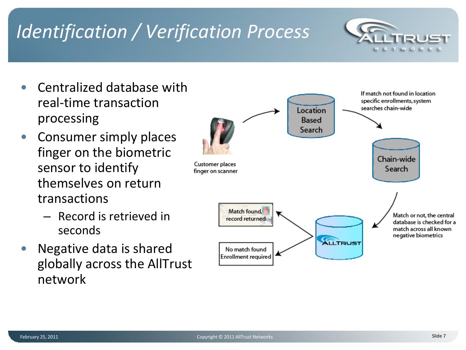# *Identification / Verification Process*

- Centralized database with real-time transaction processing
- Consumer simply places finger on the biometric sensor to identify themselves on return transactions
	- Record is retrieved in seconds
- Negative data is shared globally across the AllTrust network

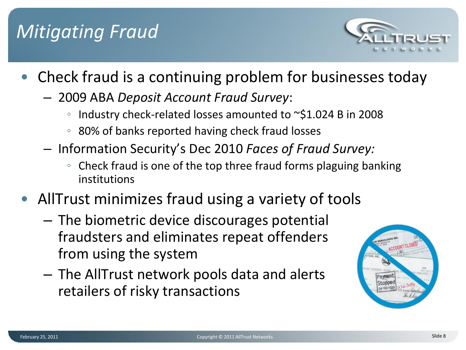## *Mitigating Fraud*



- Check fraud is a continuing problem for businesses today
	- 2009 ABA *Deposit Account Fraud Survey*:
		- Industry check-related losses amounted to ~\$1.024 B in 2008
		- 80% of banks reported having check fraud losses
	- Information Security's Dec 2010 *Faces of Fraud Survey:*
		- Check fraud is one of the top three fraud forms plaguing banking institutions
- AllTrust minimizes fraud using a variety of tools
	- The biometric device discourages potential fraudsters and eliminates repeat offenders from using the system
	- The AllTrust network pools data and alerts retailers of risky transactions

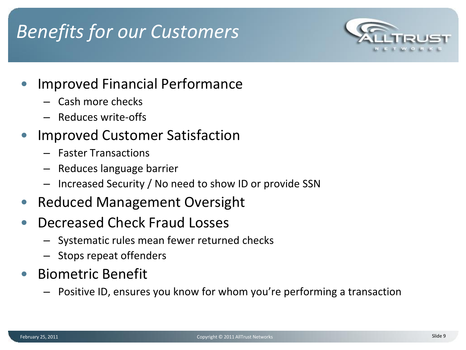# *Benefits for our Customers*



### • Improved Financial Performance

- Cash more checks
- Reduces write-offs

### • Improved Customer Satisfaction

- Faster Transactions
- Reduces language barrier
- Increased Security / No need to show ID or provide SSN
- Reduced Management Oversight
- Decreased Check Fraud Losses
	- Systematic rules mean fewer returned checks
	- Stops repeat offenders
- Biometric Benefit
	- Positive ID, ensures you know for whom you're performing a transaction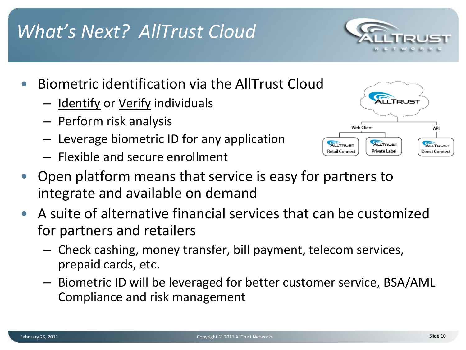prepaid cards, etc. – Biometric ID will be leveraged for better customer service, BSA/AML Compliance and risk management

• Open platform means that service is easy for partners to integrate and available on demand

• A suite of alternative financial services that can be customized

– Check cashing, money transfer, bill payment, telecom services,

- 
- 
- Perform risk analysis
- Biometric identification via the AllTrust Cloud
	- Identify or Verify individuals
	- Leverage biometric ID for any application
		-

for partners and retailers

– Flexible and secure enrollment





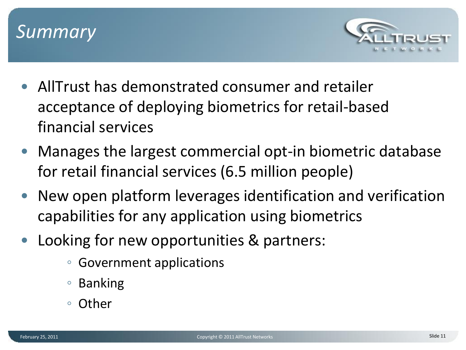



- AllTrust has demonstrated consumer and retailer acceptance of deploying biometrics for retail-based financial services
- Manages the largest commercial opt-in biometric database for retail financial services (6.5 million people)
- New open platform leverages identification and verification capabilities for any application using biometrics
- Looking for new opportunities & partners:
	- Government applications
	- Banking
	- Other